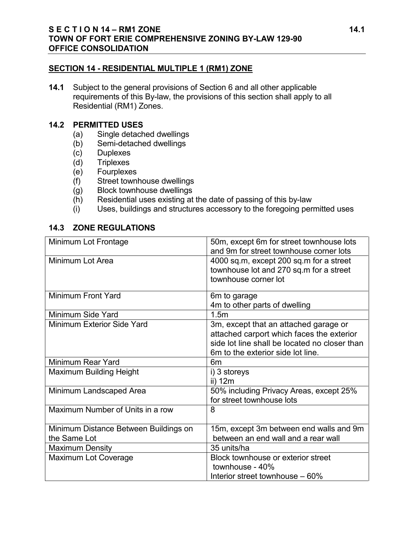#### **SECTION 14 - RESIDENTIAL MULTIPLE 1 (RM1) ZONE**

**14.1** Subject to the general provisions of Section 6 and all other applicable requirements of this By-law, the provisions of this section shall apply to all Residential (RM1) Zones.

#### **14.2 PERMITTED USES**

- (a) Single detached dwellings
- (b) Semi-detached dwellings
- (c) Duplexes<br>(d) Triplexes
- Triplexes
- (e) Fourplexes
- 
- (f) Street townhouse dwellings<br>(g) Block townhouse dwellings Block townhouse dwellings
- (h) Residential uses existing at the date of passing of this by-law
- (i) Uses, buildings and structures accessory to the foregoing permitted uses

## **14.3 ZONE REGULATIONS**

| Minimum Lot Frontage                  | 50m, except 6m for street townhouse lots<br>and 9m for street townhouse corner lots |
|---------------------------------------|-------------------------------------------------------------------------------------|
| Minimum Lot Area                      | 4000 sq.m, except 200 sq.m for a street                                             |
|                                       | townhouse lot and 270 sq.m for a street                                             |
|                                       | townhouse corner lot                                                                |
| <b>Minimum Front Yard</b>             | 6m to garage                                                                        |
|                                       | 4m to other parts of dwelling                                                       |
| Minimum Side Yard                     | 1.5m                                                                                |
| Minimum Exterior Side Yard            | 3m, except that an attached garage or                                               |
|                                       | attached carport which faces the exterior                                           |
|                                       | side lot line shall be located no closer than                                       |
|                                       | 6m to the exterior side lot line.                                                   |
| Minimum Rear Yard                     | 6 <sub>m</sub>                                                                      |
| Maximum Building Height               | i) 3 storeys                                                                        |
|                                       | ii) 12m                                                                             |
| Minimum Landscaped Area               | 50% including Privacy Areas, except 25%                                             |
|                                       | for street townhouse lots                                                           |
| Maximum Number of Units in a row      | 8                                                                                   |
| Minimum Distance Between Buildings on | 15m, except 3m between end walls and 9m                                             |
| the Same Lot                          | between an end wall and a rear wall                                                 |
| <b>Maximum Density</b>                | 35 units/ha                                                                         |
| <b>Maximum Lot Coverage</b>           | Block townhouse or exterior street                                                  |
|                                       | townhouse - 40%                                                                     |
|                                       | Interior street townhouse – 60%                                                     |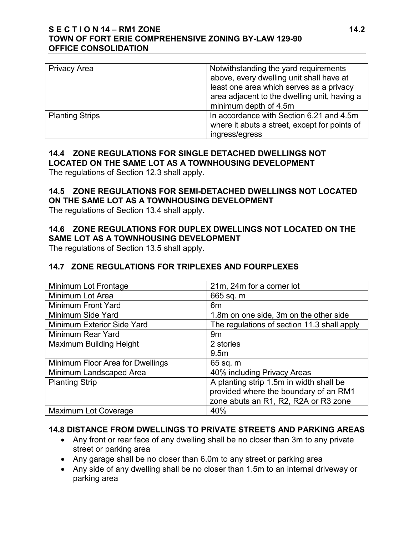### **S E C T I O N 14 – RM1 ZONE 14.2 TOWN OF FORT ERIE COMPREHENSIVE ZONING BY-LAW 129-90 OFFICE CONSOLIDATION**

| <b>Privacy Area</b>    | Notwithstanding the yard requirements                                                     |
|------------------------|-------------------------------------------------------------------------------------------|
|                        | above, every dwelling unit shall have at                                                  |
|                        | least one area which serves as a privacy<br>area adjacent to the dwelling unit, having a  |
|                        |                                                                                           |
|                        | minimum depth of 4.5m                                                                     |
| <b>Planting Strips</b> | In accordance with Section 6.21 and 4.5m<br>where it abuts a street, except for points of |
|                        | ingress/egress                                                                            |

## **14.4 ZONE REGULATIONS FOR SINGLE DETACHED DWELLINGS NOT LOCATED ON THE SAME LOT AS A TOWNHOUSING DEVELOPMENT**

The regulations of Section 12.3 shall apply.

## **14.5 ZONE REGULATIONS FOR SEMI-DETACHED DWELLINGS NOT LOCATED ON THE SAME LOT AS A TOWNHOUSING DEVELOPMENT**

The regulations of Section 13.4 shall apply.

# **14.6 ZONE REGULATIONS FOR DUPLEX DWELLINGS NOT LOCATED ON THE SAME LOT AS A TOWNHOUSING DEVELOPMENT**

The regulations of Section 13.5 shall apply.

# **14.7 ZONE REGULATIONS FOR TRIPLEXES AND FOURPLEXES**

| Minimum Lot Frontage             | 21m, 24m for a corner lot                   |
|----------------------------------|---------------------------------------------|
| Minimum Lot Area                 | 665 sq. m                                   |
| Minimum Front Yard               | 6m                                          |
| Minimum Side Yard                | 1.8m on one side, 3m on the other side      |
| Minimum Exterior Side Yard       | The regulations of section 11.3 shall apply |
| Minimum Rear Yard                | 9m                                          |
| <b>Maximum Building Height</b>   | 2 stories                                   |
|                                  | 9.5 <sub>m</sub>                            |
| Minimum Floor Area for Dwellings | 65 sq. m                                    |
| Minimum Landscaped Area          | 40% including Privacy Areas                 |
| <b>Planting Strip</b>            | A planting strip 1.5m in width shall be     |
|                                  | provided where the boundary of an RM1       |
|                                  | zone abuts an R1, R2, R2A or R3 zone        |
| Maximum Lot Coverage             | 40%                                         |

## **14.8 DISTANCE FROM DWELLINGS TO PRIVATE STREETS AND PARKING AREAS**

- Any front or rear face of any dwelling shall be no closer than 3m to any private street or parking area
- Any garage shall be no closer than 6.0m to any street or parking area
- Any side of any dwelling shall be no closer than 1.5m to an internal driveway or parking area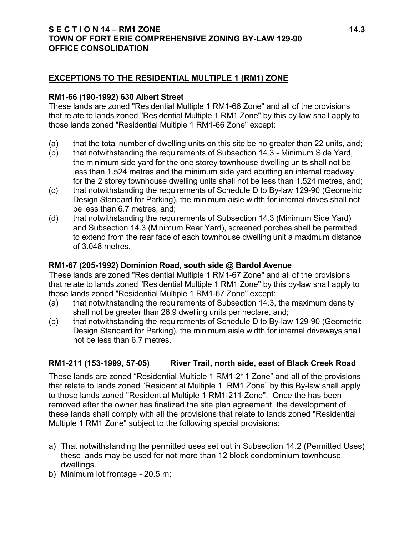## **EXCEPTIONS TO THE RESIDENTIAL MULTIPLE 1 (RM1) ZONE**

### **RM1-66 (190-1992) 630 Albert Street**

These lands are zoned "Residential Multiple 1 RM1-66 Zone" and all of the provisions that relate to lands zoned "Residential Multiple 1 RM1 Zone" by this by-law shall apply to those lands zoned "Residential Multiple 1 RM1-66 Zone" except:

- (a) that the total number of dwelling units on this site be no greater than 22 units, and;
- (b) that notwithstanding the requirements of Subsection 14.3 Minimum Side Yard, the minimum side yard for the one storey townhouse dwelling units shall not be less than 1.524 metres and the minimum side yard abutting an internal roadway for the 2 storey townhouse dwelling units shall not be less than 1.524 metres, and;
- (c) that notwithstanding the requirements of Schedule D to By-law 129-90 (Geometric Design Standard for Parking), the minimum aisle width for internal drives shall not be less than 6.7 metres, and;
- (d) that notwithstanding the requirements of Subsection 14.3 (Minimum Side Yard) and Subsection 14.3 (Minimum Rear Yard), screened porches shall be permitted to extend from the rear face of each townhouse dwelling unit a maximum distance of 3.048 metres.

## **RM1-67 (205-1992) Dominion Road, south side @ Bardol Avenue**

These lands are zoned "Residential Multiple 1 RM1-67 Zone" and all of the provisions that relate to lands zoned "Residential Multiple 1 RM1 Zone" by this by-law shall apply to those lands zoned "Residential Multiple 1 RM1-67 Zone" except:

- (a) that notwithstanding the requirements of Subsection 14.3, the maximum density shall not be greater than 26.9 dwelling units per hectare, and;
- (b) that notwithstanding the requirements of Schedule D to By-law 129-90 (Geometric Design Standard for Parking), the minimum aisle width for internal driveways shall not be less than 6.7 metres.

## **RM1-211 (153-1999, 57-05) River Trail, north side, east of Black Creek Road**

These lands are zoned "Residential Multiple 1 RM1-211 Zone" and all of the provisions that relate to lands zoned "Residential Multiple 1 RM1 Zone" by this By-law shall apply to those lands zoned "Residential Multiple 1 RM1-211 Zone". Once the has been removed after the owner has finalized the site plan agreement, the development of these lands shall comply with all the provisions that relate to lands zoned "Residential Multiple 1 RM1 Zone" subject to the following special provisions:

- a) That notwithstanding the permitted uses set out in Subsection 14.2 (Permitted Uses) these lands may be used for not more than 12 block condominium townhouse dwellings.
- b) Minimum lot frontage 20.5 m;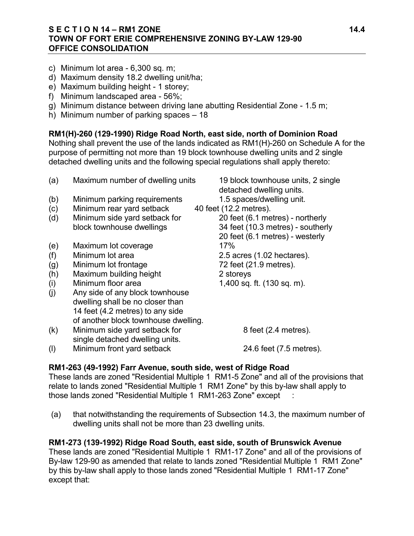## **S E C T I O N 14 – RM1 ZONE 14.4 TOWN OF FORT ERIE COMPREHENSIVE ZONING BY-LAW 129-90 OFFICE CONSOLIDATION**

- c) Minimum lot area 6,300 sq. m;
- d) Maximum density 18.2 dwelling unit/ha;
- e) Maximum building height 1 storey;
- f) Minimum landscaped area 56%;
- g) Minimum distance between driving lane abutting Residential Zone 1.5 m;
- h) Minimum number of parking spaces 18

## **RM1(H)-260 (129-1990) Ridge Road North, east side, north of Dominion Road**

Nothing shall prevent the use of the lands indicated as RM1(H)-260 on Schedule A for the purpose of permitting not more than 19 block townhouse dwelling units and 2 single detached dwelling units and the following special regulations shall apply thereto:

- (a) Maximum number of dwelling units 19 block townhouse units, 2 single detached dwelling units. (b) Minimum parking requirements 1.5 spaces/dwelling unit. (c) Minimum rear yard setback 40 feet (12.2 metres). (d) Minimum side yard setback for 20 feet (6.1 metres) - northerly block townhouse dwellings 34 feet (10.3 metres) - southerly 20 feet (6.1 metres) - westerly (e) Maximum lot coverage 17% (f) Minimum lot area 2.5 acres (1.02 hectares). (g) Minimum lot frontage 72 feet (21.9 metres). (h) Maximum building height 2 storeys (i) Minimum floor area  $1,400$  sq. ft.  $(130 \text{ sq. m})$ . (j) Any side of any block townhouse dwelling shall be no closer than 14 feet (4.2 metres) to any side of another block townhouse dwelling.  $(k)$  Minimum side yard setback for  $8$  feet  $(2.4 \text{ metres})$ . single detached dwelling units.
- (l) Minimum front yard setback 24.6 feet (7.5 metres).

#### **RM1-263 (49-1992) Farr Avenue, south side, west of Ridge Road**

These lands are zoned "Residential Multiple 1 RM1-5 Zone" and all of the provisions that relate to lands zoned "Residential Multiple 1 RM1 Zone" by this by-law shall apply to those lands zoned "Residential Multiple 1 RM1-263 Zone" except :

(a) that notwithstanding the requirements of Subsection 14.3, the maximum number of dwelling units shall not be more than 23 dwelling units.

#### **RM1-273 (139-1992) Ridge Road South, east side, south of Brunswick Avenue**

These lands are zoned "Residential Multiple 1 RM1-17 Zone" and all of the provisions of By-law 129-90 as amended that relate to lands zoned "Residential Multiple 1 RM1 Zone" by this by-law shall apply to those lands zoned "Residential Multiple 1 RM1-17 Zone" except that: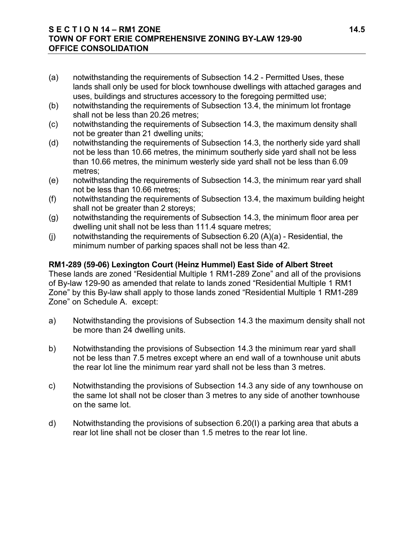#### **S E C T I O N 14 – RM1 ZONE 14.5 TOWN OF FORT ERIE COMPREHENSIVE ZONING BY-LAW 129-90 OFFICE CONSOLIDATION**

- (a) notwithstanding the requirements of Subsection 14.2 Permitted Uses, these lands shall only be used for block townhouse dwellings with attached garages and uses, buildings and structures accessory to the foregoing permitted use;
- (b) notwithstanding the requirements of Subsection 13.4, the minimum lot frontage shall not be less than 20.26 metres;
- (c) notwithstanding the requirements of Subsection 14.3, the maximum density shall not be greater than 21 dwelling units;
- (d) notwithstanding the requirements of Subsection 14.3, the northerly side yard shall not be less than 10.66 metres, the minimum southerly side yard shall not be less than 10.66 metres, the minimum westerly side yard shall not be less than 6.09 metres;
- (e) notwithstanding the requirements of Subsection 14.3, the minimum rear yard shall not be less than 10.66 metres;
- (f) notwithstanding the requirements of Subsection 13.4, the maximum building height shall not be greater than 2 storeys;
- (g) notwithstanding the requirements of Subsection 14.3, the minimum floor area per dwelling unit shall not be less than 111.4 square metres;
- (j) notwithstanding the requirements of Subsection 6.20 (A)(a) Residential, the minimum number of parking spaces shall not be less than 42.

## **RM1-289 (59-06) Lexington Court (Heinz Hummel) East Side of Albert Street**

These lands are zoned "Residential Multiple 1 RM1-289 Zone" and all of the provisions of By-law 129-90 as amended that relate to lands zoned "Residential Multiple 1 RM1 Zone" by this By-law shall apply to those lands zoned "Residential Multiple 1 RM1-289 Zone" on Schedule A. except:

- a) Notwithstanding the provisions of Subsection 14.3 the maximum density shall not be more than 24 dwelling units.
- b) Notwithstanding the provisions of Subsection 14.3 the minimum rear yard shall not be less than 7.5 metres except where an end wall of a townhouse unit abuts the rear lot line the minimum rear yard shall not be less than 3 metres.
- c) Notwithstanding the provisions of Subsection 14.3 any side of any townhouse on the same lot shall not be closer than 3 metres to any side of another townhouse on the same lot.
- d) Notwithstanding the provisions of subsection 6.20(I) a parking area that abuts a rear lot line shall not be closer than 1.5 metres to the rear lot line.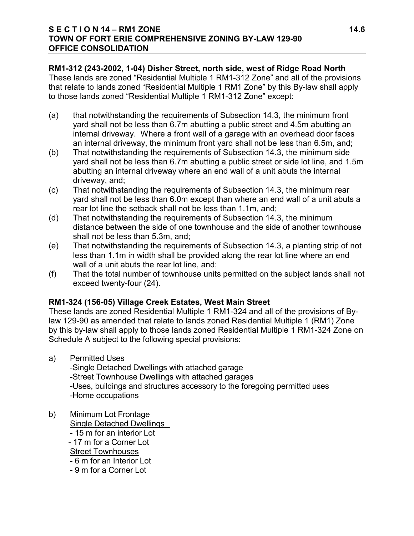#### **S E C T I O N 14 – RM1 ZONE 14.6 TOWN OF FORT ERIE COMPREHENSIVE ZONING BY-LAW 129-90 OFFICE CONSOLIDATION**

## **RM1-312 (243-2002, 1-04) Disher Street, north side, west of Ridge Road North**

These lands are zoned "Residential Multiple 1 RM1-312 Zone" and all of the provisions that relate to lands zoned "Residential Multiple 1 RM1 Zone" by this By-law shall apply to those lands zoned "Residential Multiple 1 RM1-312 Zone" except:

- (a) that notwithstanding the requirements of Subsection 14.3, the minimum front yard shall not be less than 6.7m abutting a public street and 4.5m abutting an internal driveway. Where a front wall of a garage with an overhead door faces an internal driveway, the minimum front yard shall not be less than 6.5m, and;
- (b) That notwithstanding the requirements of Subsection 14.3, the minimum side yard shall not be less than 6.7m abutting a public street or side lot line, and 1.5m abutting an internal driveway where an end wall of a unit abuts the internal driveway, and;
- (c) That notwithstanding the requirements of Subsection 14.3, the minimum rear yard shall not be less than 6.0m except than where an end wall of a unit abuts a rear lot line the setback shall not be less than 1.1m, and;
- (d) That notwithstanding the requirements of Subsection 14.3, the minimum distance between the side of one townhouse and the side of another townhouse shall not be less than 5.3m, and;
- (e) That notwithstanding the requirements of Subsection 14.3, a planting strip of not less than 1.1m in width shall be provided along the rear lot line where an end wall of a unit abuts the rear lot line, and;
- (f) That the total number of townhouse units permitted on the subject lands shall not exceed twenty-four (24).

## **RM1-324 (156-05) Village Creek Estates, West Main Street**

These lands are zoned Residential Multiple 1 RM1-324 and all of the provisions of Bylaw 129-90 as amended that relate to lands zoned Residential Multiple 1 (RM1) Zone by this by-law shall apply to those lands zoned Residential Multiple 1 RM1-324 Zone on Schedule A subject to the following special provisions:

a) Permitted Uses

-Single Detached Dwellings with attached garage

-Street Townhouse Dwellings with attached garages

-Uses, buildings and structures accessory to the foregoing permitted uses -Home occupations

b) Minimum Lot Frontage

Single Detached Dwellings

- 15 m for an interior Lot - 17 m for a Corner Lot Street Townhouses

- 6 m for an Interior Lot
- 9 m for a Corner Lot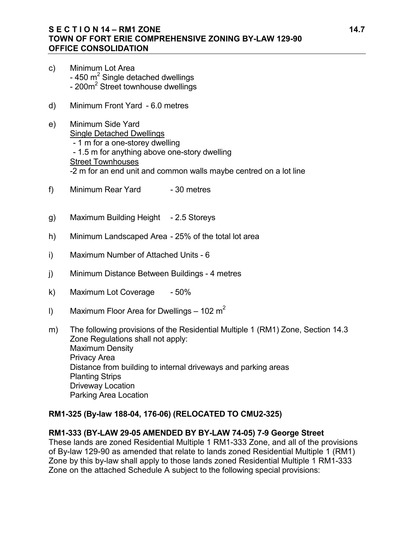## **S E C T I O N 14 – RM1 ZONE 14.7 TOWN OF FORT ERIE COMPREHENSIVE ZONING BY-LAW 129-90 OFFICE CONSOLIDATION**

- c) Minimum Lot Area  $-$  450 m<sup>2</sup> Single detached dwellings - 200m<sup>2</sup> Street townhouse dwellings
- d) Minimum Front Yard 6.0 metres
- e) Minimum Side Yard Single Detached Dwellings - 1 m for a one-storey dwelling - 1.5 m for anything above one-story dwelling Street Townhouses -2 m for an end unit and common walls maybe centred on a lot line
- f) Minimum Rear Yard 30 metres
- g) Maximum Building Height 2.5 Storeys
- h) Minimum Landscaped Area 25% of the total lot area
- i) Maximum Number of Attached Units 6
- j) Minimum Distance Between Buildings 4 metres
- k) Maximum Lot Coverage 50%
- I) Maximum Floor Area for Dwellings 102 m<sup>2</sup>
- m) The following provisions of the Residential Multiple 1 (RM1) Zone, Section 14.3 Zone Regulations shall not apply: Maximum Density Privacy Area Distance from building to internal driveways and parking areas Planting Strips Driveway Location Parking Area Location

#### **RM1-325 (By-law 188-04, 176-06) (RELOCATED TO CMU2-325)**

#### **RM1-333 (BY-LAW 29-05 AMENDED BY BY-LAW 74-05) 7-9 George Street**

These lands are zoned Residential Multiple 1 RM1-333 Zone, and all of the provisions of By-law 129-90 as amended that relate to lands zoned Residential Multiple 1 (RM1) Zone by this by-law shall apply to those lands zoned Residential Multiple 1 RM1-333 Zone on the attached Schedule A subject to the following special provisions: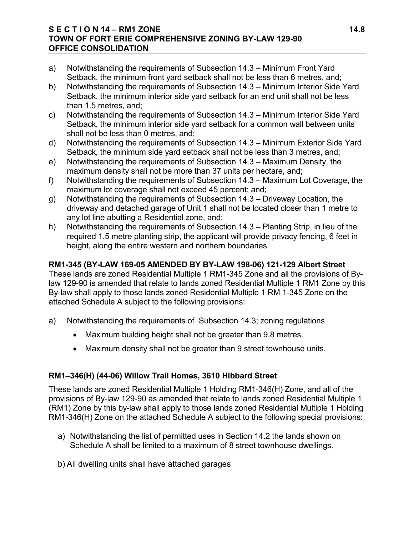#### **S E C T I O N 14 – RM1 ZONE 14.8 TOWN OF FORT ERIE COMPREHENSIVE ZONING BY-LAW 129-90 OFFICE CONSOLIDATION**

- a) Notwithstanding the requirements of Subsection 14.3 Minimum Front Yard Setback, the minimum front yard setback shall not be less than 6 metres, and;
- b) Notwithstanding the requirements of Subsection 14.3 Minimum Interior Side Yard Setback, the minimum interior side yard setback for an end unit shall not be less than 1.5 metres, and;
- c) Notwithstanding the requirements of Subsection 14.3 Minimum Interior Side Yard Setback, the minimum interior side yard setback for a common wall between units shall not be less than 0 metres, and;
- d) Notwithstanding the requirements of Subsection 14.3 Minimum Exterior Side Yard Setback, the minimum side yard setback shall not be less than 3 metres, and;
- e) Notwithstanding the requirements of Subsection 14.3 Maximum Density, the maximum density shall not be more than 37 units per hectare, and;
- f) Notwithstanding the requirements of Subsection 14.3 Maximum Lot Coverage, the maximum lot coverage shall not exceed 45 percent; and;
- g) Notwithstanding the requirements of Subsection 14.3 Driveway Location, the driveway and detached garage of Unit 1 shall not be located closer than 1 metre to any lot line abutting a Residential zone, and;
- h) Notwithstanding the requirements of Subsection 14.3 Planting Strip, in lieu of the required 1.5 metre planting strip, the applicant will provide privacy fencing, 6 feet in height, along the entire western and northern boundaries.

## **RM1-345 (BY-LAW 169-05 AMENDED BY BY-LAW 198-06) 121-129 Albert Street**

These lands are zoned Residential Multiple 1 RM1-345 Zone and all the provisions of Bylaw 129-90 is amended that relate to lands zoned Residential Multiple 1 RM1 Zone by this By-law shall apply to those lands zoned Residential Multiple 1 RM 1-345 Zone on the attached Schedule A subject to the following provisions:

- a) Notwithstanding the requirements of Subsection 14.3; zoning regulations
	- Maximum building height shall not be greater than 9.8 metres.
	- Maximum density shall not be greater than 9 street townhouse units.

## **RM1–346(H) (44-06) Willow Trail Homes, 3610 Hibbard Street**

These lands are zoned Residential Multiple 1 Holding RM1-346(H) Zone, and all of the provisions of By-law 129-90 as amended that relate to lands zoned Residential Multiple 1 (RM1) Zone by this by-law shall apply to those lands zoned Residential Multiple 1 Holding RM1-346(H) Zone on the attached Schedule A subject to the following special provisions:

- a) Notwithstanding the list of permitted uses in Section 14.2 the lands shown on Schedule A shall be limited to a maximum of 8 street townhouse dwellings.
- b) All dwelling units shall have attached garages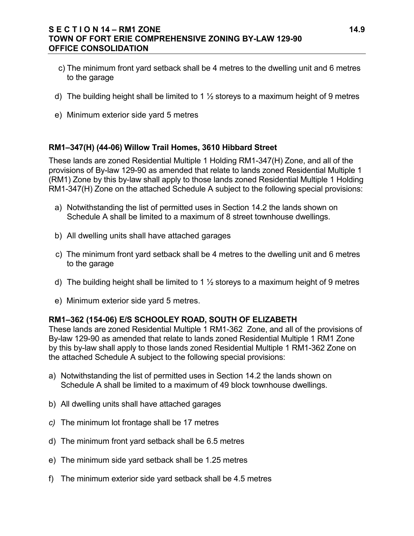### **S E C T I O N 14 – RM1 ZONE 14.9 TOWN OF FORT ERIE COMPREHENSIVE ZONING BY-LAW 129-90 OFFICE CONSOLIDATION**

- c) The minimum front yard setback shall be 4 metres to the dwelling unit and 6 metres to the garage
- d) The building height shall be limited to 1  $\frac{1}{2}$  storeys to a maximum height of 9 metres
- e) Minimum exterior side yard 5 metres

## **RM1–347(H) (44-06) Willow Trail Homes, 3610 Hibbard Street**

These lands are zoned Residential Multiple 1 Holding RM1-347(H) Zone, and all of the provisions of By-law 129-90 as amended that relate to lands zoned Residential Multiple 1 (RM1) Zone by this by-law shall apply to those lands zoned Residential Multiple 1 Holding RM1-347(H) Zone on the attached Schedule A subject to the following special provisions:

- a) Notwithstanding the list of permitted uses in Section 14.2 the lands shown on Schedule A shall be limited to a maximum of 8 street townhouse dwellings.
- b) All dwelling units shall have attached garages
- c) The minimum front yard setback shall be 4 metres to the dwelling unit and 6 metres to the garage
- d) The building height shall be limited to 1  $\frac{1}{2}$  storeys to a maximum height of 9 metres
- e) Minimum exterior side yard 5 metres.

#### **RM1–362 (154-06) E/S SCHOOLEY ROAD, SOUTH OF ELIZABETH**

These lands are zoned Residential Multiple 1 RM1-362 Zone, and all of the provisions of By-law 129-90 as amended that relate to lands zoned Residential Multiple 1 RM1 Zone by this by-law shall apply to those lands zoned Residential Multiple 1 RM1-362 Zone on the attached Schedule A subject to the following special provisions:

- a) Notwithstanding the list of permitted uses in Section 14.2 the lands shown on Schedule A shall be limited to a maximum of 49 block townhouse dwellings.
- b) All dwelling units shall have attached garages
- *c)* The minimum lot frontage shall be 17 metres
- d) The minimum front yard setback shall be 6.5 metres
- e) The minimum side yard setback shall be 1.25 metres
- f) The minimum exterior side yard setback shall be 4.5 metres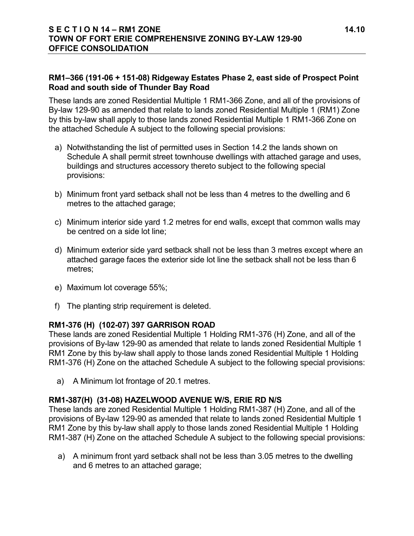## **RM1–366 (191-06 + 151-08) Ridgeway Estates Phase 2, east side of Prospect Point Road and south side of Thunder Bay Road**

These lands are zoned Residential Multiple 1 RM1-366 Zone, and all of the provisions of By-law 129-90 as amended that relate to lands zoned Residential Multiple 1 (RM1) Zone by this by-law shall apply to those lands zoned Residential Multiple 1 RM1-366 Zone on the attached Schedule A subject to the following special provisions:

- a) Notwithstanding the list of permitted uses in Section 14.2 the lands shown on Schedule A shall permit street townhouse dwellings with attached garage and uses, buildings and structures accessory thereto subject to the following special provisions:
- b) Minimum front yard setback shall not be less than 4 metres to the dwelling and 6 metres to the attached garage;
- c) Minimum interior side yard 1.2 metres for end walls, except that common walls may be centred on a side lot line;
- d) Minimum exterior side yard setback shall not be less than 3 metres except where an attached garage faces the exterior side lot line the setback shall not be less than 6 metres;
- e) Maximum lot coverage 55%;
- f) The planting strip requirement is deleted.

## **RM1-376 (H) (102-07) 397 GARRISON ROAD**

These lands are zoned Residential Multiple 1 Holding RM1-376 (H) Zone, and all of the provisions of By-law 129-90 as amended that relate to lands zoned Residential Multiple 1 RM1 Zone by this by-law shall apply to those lands zoned Residential Multiple 1 Holding RM1-376 (H) Zone on the attached Schedule A subject to the following special provisions:

a) A Minimum lot frontage of 20.1 metres.

#### **RM1-387(H) (31-08) HAZELWOOD AVENUE W/S, ERIE RD N/S**

These lands are zoned Residential Multiple 1 Holding RM1-387 (H) Zone, and all of the provisions of By-law 129-90 as amended that relate to lands zoned Residential Multiple 1 RM1 Zone by this by-law shall apply to those lands zoned Residential Multiple 1 Holding RM1-387 (H) Zone on the attached Schedule A subject to the following special provisions:

a) A minimum front yard setback shall not be less than 3.05 metres to the dwelling and 6 metres to an attached garage;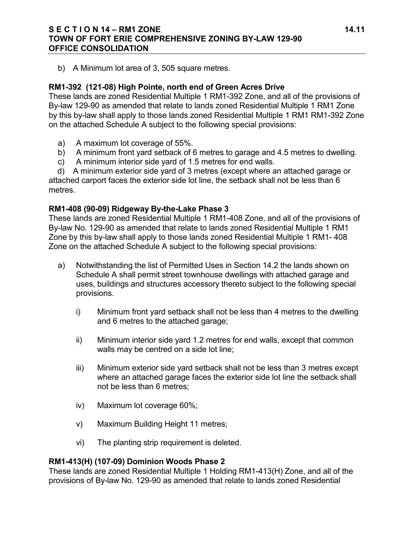#### **S E C T I O N 14 – RM1 ZONE 14.11 TOWN OF FORT ERIE COMPREHENSIVE ZONING BY-LAW 129-90 OFFICE CONSOLIDATION**

b) A Minimum lot area of 3, 505 square metres.

#### **RM1-392 (121-08) High Pointe, north end of Green Acres Drive**

These lands are zoned Residential Multiple 1 RM1-392 Zone, and all of the provisions of By-law 129-90 as amended that relate to lands zoned Residential Multiple 1 RM1 Zone by this by-law shall apply to those lands zoned Residential Multiple 1 RM1 RM1-392 Zone on the attached Schedule A subject to the following special provisions:

- a) A maximum lot coverage of 55%.
- b) A minimum front yard setback of 6 metres to garage and 4.5 metres to dwelling.
- c) A minimum interior side yard of 1.5 metres for end walls.

 d) A minimum exterior side yard of 3 metres (except where an attached garage or attached carport faces the exterior side lot line, the setback shall not be less than 6 metres.

#### **RM1-408 (90-09) Ridgeway By-the-Lake Phase 3**

These lands are zoned Residential Multiple 1 RM1-408 Zone, and all of the provisions of By-law No. 129-90 as amended that relate to lands zoned Residential Multiple 1 RM1 Zone by this by-law shall apply to those lands zoned Residential Multiple 1 RM1- 408 Zone on the attached Schedule A subject to the following special provisions:

- a) Notwithstanding the list of Permitted Uses in Section 14.2 the lands shown on Schedule A shall permit street townhouse dwellings with attached garage and uses, buildings and structures accessory thereto subject to the following special provisions.
	- i) Minimum front yard setback shall not be less than 4 metres to the dwelling and 6 metres to the attached garage;
	- ii) Minimum interior side yard 1.2 metres for end walls, except that common walls may be centred on a side lot line;
	- iii) Minimum exterior side yard setback shall not be less than 3 metres except where an attached garage faces the exterior side lot line the setback shall not be less than 6 metres;
	- iv) Maximum lot coverage 60%;
	- v) Maximum Building Height 11 metres;
	- vi) The planting strip requirement is deleted.

#### **RM1-413(H) (107-09) Dominion Woods Phase 2**

These lands are zoned Residential Multiple 1 Holding RM1-413(H) Zone, and all of the provisions of By-law No. 129-90 as amended that relate to lands zoned Residential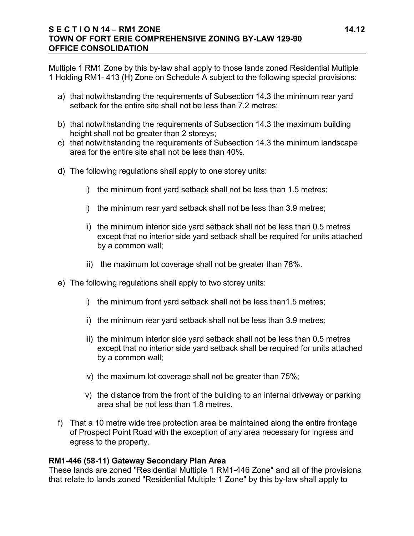#### **S E C T I O N 14 – RM1 ZONE 14.12 TOWN OF FORT ERIE COMPREHENSIVE ZONING BY-LAW 129-90 OFFICE CONSOLIDATION**

Multiple 1 RM1 Zone by this by-law shall apply to those lands zoned Residential Multiple 1 Holding RM1- 413 (H) Zone on Schedule A subject to the following special provisions:

- a) that notwithstanding the requirements of Subsection 14.3 the minimum rear yard setback for the entire site shall not be less than 7.2 metres;
- b) that notwithstanding the requirements of Subsection 14.3 the maximum building height shall not be greater than 2 storeys;
- c) that notwithstanding the requirements of Subsection 14.3 the minimum landscape area for the entire site shall not be less than 40%.
- d) The following regulations shall apply to one storey units:
	- i) the minimum front yard setback shall not be less than 1.5 metres;
	- i) the minimum rear yard setback shall not be less than 3.9 metres;
	- ii) the minimum interior side yard setback shall not be less than 0.5 metres except that no interior side yard setback shall be required for units attached by a common wall;
	- iii) the maximum lot coverage shall not be greater than 78%.
- e) The following regulations shall apply to two storey units:
	- i) the minimum front yard setback shall not be less than1.5 metres;
	- ii) the minimum rear yard setback shall not be less than 3.9 metres;
	- iii) the minimum interior side yard setback shall not be less than 0.5 metres except that no interior side yard setback shall be required for units attached by a common wall;
	- iv) the maximum lot coverage shall not be greater than 75%;
	- v) the distance from the front of the building to an internal driveway or parking area shall be not less than 1.8 metres.
- f) That a 10 metre wide tree protection area be maintained along the entire frontage of Prospect Point Road with the exception of any area necessary for ingress and egress to the property.

#### **RM1-446 (58-11) Gateway Secondary Plan Area**

These lands are zoned "Residential Multiple 1 RM1-446 Zone" and all of the provisions that relate to lands zoned "Residential Multiple 1 Zone" by this by-law shall apply to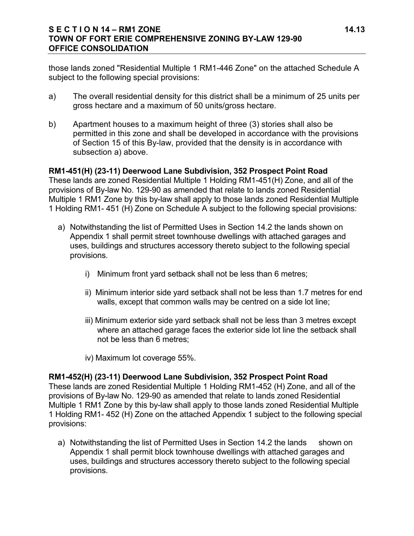#### **S E C T I O N 14 – RM1 ZONE 14.13 TOWN OF FORT ERIE COMPREHENSIVE ZONING BY-LAW 129-90 OFFICE CONSOLIDATION**

those lands zoned "Residential Multiple 1 RM1-446 Zone" on the attached Schedule A subject to the following special provisions:

- a) The overall residential density for this district shall be a minimum of 25 units per gross hectare and a maximum of 50 units/gross hectare.
- b) Apartment houses to a maximum height of three (3) stories shall also be permitted in this zone and shall be developed in accordance with the provisions of Section 15 of this By-law, provided that the density is in accordance with subsection a) above.

#### **RM1-451(H) (23-11) Deerwood Lane Subdivision, 352 Prospect Point Road**

These lands are zoned Residential Multiple 1 Holding RM1-451(H) Zone, and all of the provisions of By-law No. 129-90 as amended that relate to lands zoned Residential Multiple 1 RM1 Zone by this by-law shall apply to those lands zoned Residential Multiple 1 Holding RM1- 451 (H) Zone on Schedule A subject to the following special provisions:

- a) Notwithstanding the list of Permitted Uses in Section 14.2 the lands shown on Appendix 1 shall permit street townhouse dwellings with attached garages and uses, buildings and structures accessory thereto subject to the following special provisions.
	- i) Minimum front yard setback shall not be less than 6 metres;
	- ii) Minimum interior side yard setback shall not be less than 1.7 metres for end walls, except that common walls may be centred on a side lot line;
	- iii) Minimum exterior side yard setback shall not be less than 3 metres except where an attached garage faces the exterior side lot line the setback shall not be less than 6 metres;
	- iv) Maximum lot coverage 55%.

#### **RM1-452(H) (23-11) Deerwood Lane Subdivision, 352 Prospect Point Road**

These lands are zoned Residential Multiple 1 Holding RM1-452 (H) Zone, and all of the provisions of By-law No. 129-90 as amended that relate to lands zoned Residential Multiple 1 RM1 Zone by this by-law shall apply to those lands zoned Residential Multiple 1 Holding RM1- 452 (H) Zone on the attached Appendix 1 subject to the following special provisions:

a) Notwithstanding the list of Permitted Uses in Section 14.2 the lands shown on Appendix 1 shall permit block townhouse dwellings with attached garages and uses, buildings and structures accessory thereto subject to the following special provisions.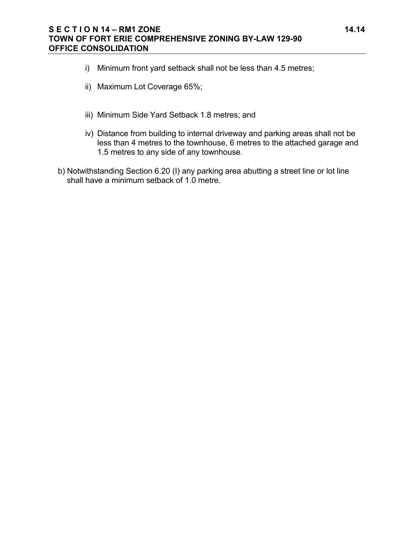- i) Minimum front yard setback shall not be less than 4.5 metres;
- ii) Maximum Lot Coverage 65%;
- iii) Minimum Side Yard Setback 1.8 metres; and
- iv) Distance from building to internal driveway and parking areas shall not be less than 4 metres to the townhouse, 6 metres to the attached garage and 1.5 metres to any side of any townhouse.
- b) Notwithstanding Section 6.20 (I) any parking area abutting a street line or lot line shall have a minimum setback of 1.0 metre.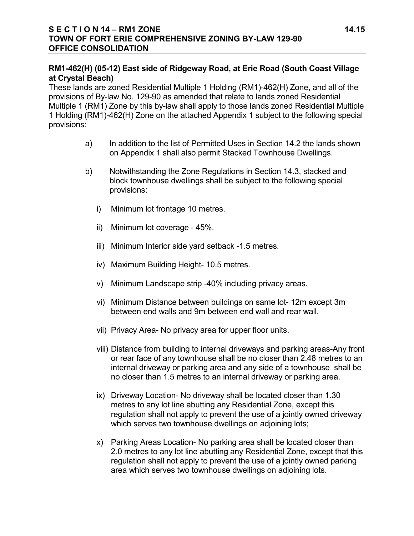## **RM1-462(H) (05-12) East side of Ridgeway Road, at Erie Road (South Coast Village at Crystal Beach)**

These lands are zoned Residential Multiple 1 Holding (RM1)-462(H) Zone, and all of the provisions of By-law No. 129-90 as amended that relate to lands zoned Residential Multiple 1 (RM1) Zone by this by-law shall apply to those lands zoned Residential Multiple 1 Holding (RM1)-462(H) Zone on the attached Appendix 1 subject to the following special provisions:

- a) In addition to the list of Permitted Uses in Section 14.2 the lands shown on Appendix 1 shall also permit Stacked Townhouse Dwellings.
- b) Notwithstanding the Zone Regulations in Section 14.3, stacked and block townhouse dwellings shall be subject to the following special provisions:
	- i) Minimum lot frontage 10 metres.
	- ii) Minimum lot coverage 45%.
	- iii) Minimum Interior side yard setback -1.5 metres.
	- iv) Maximum Building Height- 10.5 metres.
	- v) Minimum Landscape strip -40% including privacy areas.
	- vi) Minimum Distance between buildings on same lot- 12m except 3m between end walls and 9m between end wall and rear wall.
	- vii) Privacy Area- No privacy area for upper floor units.
	- viii) Distance from building to internal driveways and parking areas-Any front or rear face of any townhouse shall be no closer than 2.48 metres to an internal driveway or parking area and any side of a townhouse shall be no closer than 1.5 metres to an internal driveway or parking area.
	- ix) Driveway Location- No driveway shall be located closer than 1.30 metres to any lot line abutting any Residential Zone, except this regulation shall not apply to prevent the use of a jointly owned driveway which serves two townhouse dwellings on adjoining lots;
	- x) Parking Areas Location- No parking area shall be located closer than 2.0 metres to any lot line abutting any Residential Zone, except that this regulation shall not apply to prevent the use of a jointly owned parking area which serves two townhouse dwellings on adjoining lots.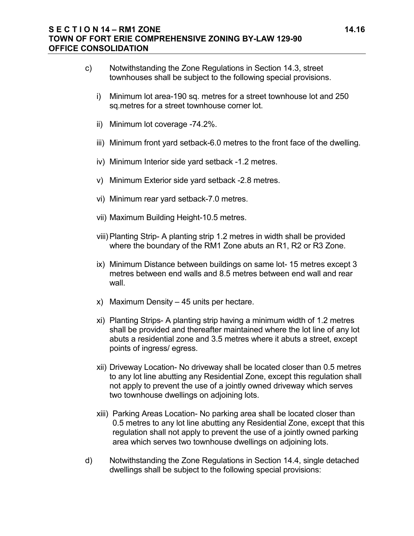#### **S E C T I O N 14 – RM1 ZONE 14.16 TOWN OF FORT ERIE COMPREHENSIVE ZONING BY-LAW 129-90 OFFICE CONSOLIDATION**

- c) Notwithstanding the Zone Regulations in Section 14.3, street townhouses shall be subject to the following special provisions.
	- i) Minimum lot area-190 sq. metres for a street townhouse lot and 250 sq.metres for a street townhouse corner lot.
	- ii) Minimum lot coverage -74.2%.
	- iii) Minimum front yard setback-6.0 metres to the front face of the dwelling.
	- iv) Minimum Interior side yard setback -1.2 metres.
	- v) Minimum Exterior side yard setback -2.8 metres.
	- vi) Minimum rear yard setback-7.0 metres.
	- vii) Maximum Building Height-10.5 metres.
	- viii)Planting Strip- A planting strip 1.2 metres in width shall be provided where the boundary of the RM1 Zone abuts an R1, R2 or R3 Zone.
	- ix) Minimum Distance between buildings on same lot- 15 metres except 3 metres between end walls and 8.5 metres between end wall and rear wall.
	- x) Maximum Density 45 units per hectare.
	- xi) Planting Strips- A planting strip having a minimum width of 1.2 metres shall be provided and thereafter maintained where the lot line of any lot abuts a residential zone and 3.5 metres where it abuts a street, except points of ingress/ egress.
	- xii) Driveway Location- No driveway shall be located closer than 0.5 metres to any lot line abutting any Residential Zone, except this regulation shall not apply to prevent the use of a jointly owned driveway which serves two townhouse dwellings on adjoining lots.
	- xiii) Parking Areas Location- No parking area shall be located closer than 0.5 metres to any lot line abutting any Residential Zone, except that this regulation shall not apply to prevent the use of a jointly owned parking area which serves two townhouse dwellings on adjoining lots.
- d) Notwithstanding the Zone Regulations in Section 14.4, single detached dwellings shall be subject to the following special provisions: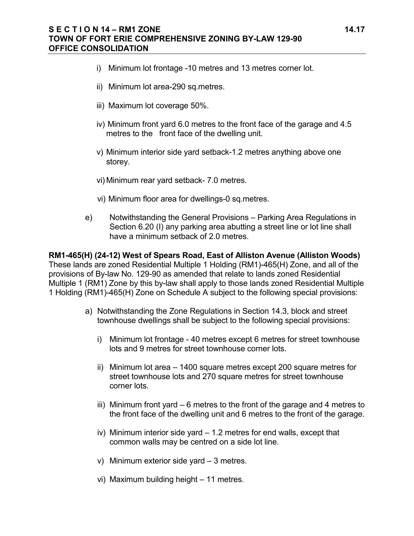- i) Minimum lot frontage -10 metres and 13 metres corner lot.
- ii) Minimum lot area-290 sq.metres.
- iii) Maximum lot coverage 50%.
- iv) Minimum front yard 6.0 metres to the front face of the garage and 4.5 metres to the front face of the dwelling unit.
- v) Minimum interior side yard setback-1.2 metres anything above one storey.
- vi) Minimum rear yard setback- 7.0 metres.
- vi) Minimum floor area for dwellings-0 sq.metres.
- e) Notwithstanding the General Provisions Parking Area Regulations in Section 6.20 (I) any parking area abutting a street line or lot line shall have a minimum setback of 2.0 metres.

**RM1-465(H) (24-12) West of Spears Road, East of Alliston Avenue (Alliston Woods)** These lands are zoned Residential Multiple 1 Holding (RM1)-465(H) Zone, and all of the provisions of By-law No. 129-90 as amended that relate to lands zoned Residential Multiple 1 (RM1) Zone by this by-law shall apply to those lands zoned Residential Multiple 1 Holding (RM1)-465(H) Zone on Schedule A subject to the following special provisions:

- a) Notwithstanding the Zone Regulations in Section 14.3, block and street townhouse dwellings shall be subject to the following special provisions:
	- i) Minimum lot frontage 40 metres except 6 metres for street townhouse lots and 9 metres for street townhouse corner lots.
	- ii) Minimum lot area 1400 square metres except 200 square metres for street townhouse lots and 270 square metres for street townhouse corner lots.
	- iii) Minimum front yard 6 metres to the front of the garage and 4 metres to the front face of the dwelling unit and 6 metres to the front of the garage.
	- iv) Minimum interior side yard 1.2 metres for end walls, except that common walls may be centred on a side lot line.
	- v) Minimum exterior side yard 3 metres.
	- vi) Maximum building height 11 metres.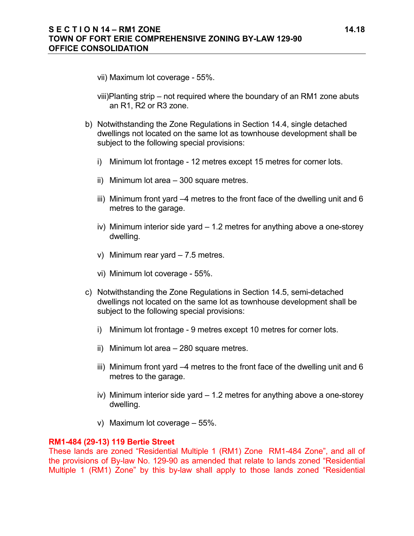- vii) Maximum lot coverage 55%.
- viii)Planting strip not required where the boundary of an RM1 zone abuts an R1, R2 or R3 zone.
- b) Notwithstanding the Zone Regulations in Section 14.4, single detached dwellings not located on the same lot as townhouse development shall be subject to the following special provisions:
	- i) Minimum lot frontage 12 metres except 15 metres for corner lots.
	- ii) Minimum lot area 300 square metres.
	- iii) Minimum front yard –4 metres to the front face of the dwelling unit and 6 metres to the garage.
	- iv) Minimum interior side yard 1.2 metres for anything above a one-storey dwelling.
	- v) Minimum rear yard 7.5 metres.
	- vi) Minimum lot coverage 55%.
- c) Notwithstanding the Zone Regulations in Section 14.5, semi-detached dwellings not located on the same lot as townhouse development shall be subject to the following special provisions:
	- i) Minimum lot frontage 9 metres except 10 metres for corner lots.
	- ii) Minimum lot area 280 square metres.
	- iii) Minimum front yard –4 metres to the front face of the dwelling unit and 6 metres to the garage.
	- iv) Minimum interior side yard 1.2 metres for anything above a one-storey dwelling.
	- v) Maximum lot coverage 55%.

#### **RM1-484 (29-13) 119 Bertie Street**

These lands are zoned "Residential Multiple 1 (RM1) Zone RM1-484 Zone", and all of the provisions of By-law No. 129-90 as amended that relate to lands zoned "Residential Multiple 1 (RM1) Zone" by this by-law shall apply to those lands zoned "Residential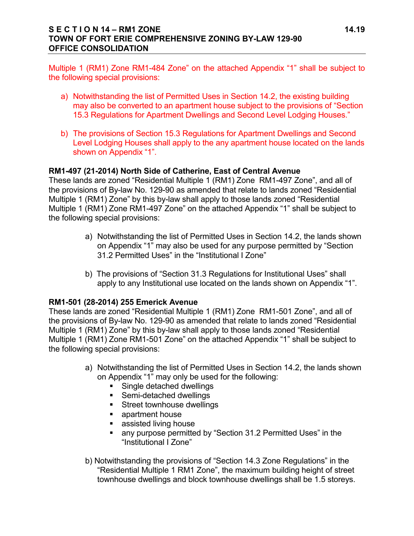#### **S E C T I O N 14 – RM1 ZONE 14.19 TOWN OF FORT ERIE COMPREHENSIVE ZONING BY-LAW 129-90 OFFICE CONSOLIDATION**

Multiple 1 (RM1) Zone RM1-484 Zone" on the attached Appendix "1" shall be subject to the following special provisions:

- a) Notwithstanding the list of Permitted Uses in Section 14.2, the existing building may also be converted to an apartment house subject to the provisions of "Section 15.3 Regulations for Apartment Dwellings and Second Level Lodging Houses."
- b) The provisions of Section 15.3 Regulations for Apartment Dwellings and Second Level Lodging Houses shall apply to the any apartment house located on the lands shown on Appendix "1".

#### **RM1-497 (21-2014) North Side of Catherine, East of Central Avenue**

These lands are zoned "Residential Multiple 1 (RM1) Zone RM1-497 Zone", and all of the provisions of By-law No. 129-90 as amended that relate to lands zoned "Residential Multiple 1 (RM1) Zone" by this by-law shall apply to those lands zoned "Residential Multiple 1 (RM1) Zone RM1-497 Zone" on the attached Appendix "1" shall be subject to the following special provisions:

- a) Notwithstanding the list of Permitted Uses in Section 14.2, the lands shown on Appendix "1" may also be used for any purpose permitted by "Section 31.2 Permitted Uses" in the "Institutional I Zone"
- b) The provisions of "Section 31.3 Regulations for Institutional Uses" shall apply to any Institutional use located on the lands shown on Appendix "1".

#### **RM1-501 (28-2014) 255 Emerick Avenue**

These lands are zoned "Residential Multiple 1 (RM1) Zone RM1-501 Zone", and all of the provisions of By-law No. 129-90 as amended that relate to lands zoned "Residential Multiple 1 (RM1) Zone" by this by-law shall apply to those lands zoned "Residential Multiple 1 (RM1) Zone RM1-501 Zone" on the attached Appendix "1" shall be subject to the following special provisions:

- a) Notwithstanding the list of Permitted Uses in Section 14.2, the lands shown on Appendix "1" may only be used for the following:
	- **Single detached dwellings**
	- Semi-detached dwellings
	- **Street townhouse dwellings**
	- **Example 1** apartment house
	- **assisted living house**
	- any purpose permitted by "Section 31.2 Permitted Uses" in the "Institutional I Zone"
- b) Notwithstanding the provisions of "Section 14.3 Zone Regulations" in the "Residential Multiple 1 RM1 Zone", the maximum building height of street townhouse dwellings and block townhouse dwellings shall be 1.5 storeys.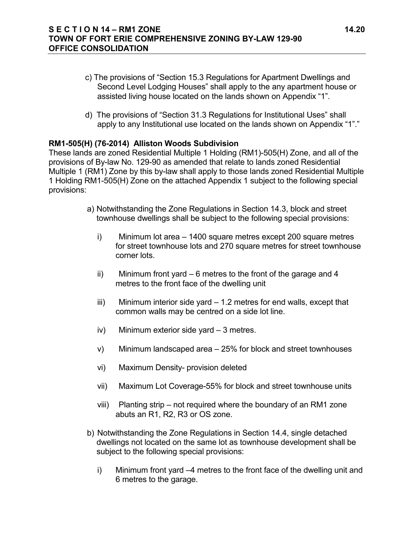- c) The provisions of "Section 15.3 Regulations for Apartment Dwellings and Second Level Lodging Houses" shall apply to the any apartment house or assisted living house located on the lands shown on Appendix "1".
- d) The provisions of "Section 31.3 Regulations for Institutional Uses" shall apply to any Institutional use located on the lands shown on Appendix "1"."

#### **RM1-505(H) (76-2014) Alliston Woods Subdivision**

These lands are zoned Residential Multiple 1 Holding (RM1)-505(H) Zone, and all of the provisions of By-law No. 129-90 as amended that relate to lands zoned Residential Multiple 1 (RM1) Zone by this by-law shall apply to those lands zoned Residential Multiple 1 Holding RM1-505(H) Zone on the attached Appendix 1 subject to the following special provisions:

- a) Notwithstanding the Zone Regulations in Section 14.3, block and street townhouse dwellings shall be subject to the following special provisions:
	- i) Minimum lot area 1400 square metres except 200 square metres for street townhouse lots and 270 square metres for street townhouse corner lots.
	- ii) Minimum front yard 6 metres to the front of the garage and 4 metres to the front face of the dwelling unit
	- iii) Minimum interior side yard 1.2 metres for end walls, except that common walls may be centred on a side lot line.
	- iv) Minimum exterior side yard 3 metres.
	- v) Minimum landscaped area 25% for block and street townhouses
	- vi) Maximum Density- provision deleted
	- vii) Maximum Lot Coverage-55% for block and street townhouse units
	- viii) Planting strip not required where the boundary of an RM1 zone abuts an R1, R2, R3 or OS zone.
- b) Notwithstanding the Zone Regulations in Section 14.4, single detached dwellings not located on the same lot as townhouse development shall be subject to the following special provisions:
	- i) Minimum front yard –4 metres to the front face of the dwelling unit and 6 metres to the garage.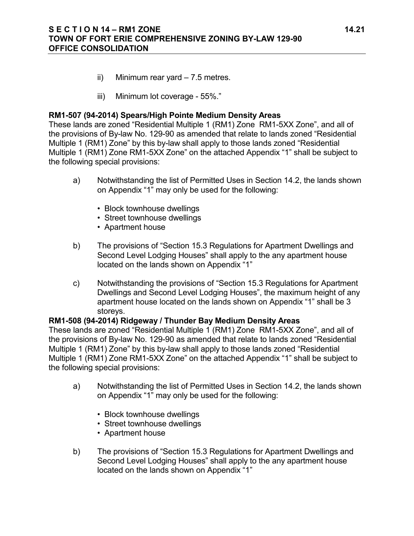#### **S E C T I O N 14 – RM1 ZONE 14.21 TOWN OF FORT ERIE COMPREHENSIVE ZONING BY-LAW 129-90 OFFICE CONSOLIDATION**

- ii) Minimum rear yard 7.5 metres.
- iii) Minimum lot coverage 55%."

### **RM1-507 (94-2014) Spears/High Pointe Medium Density Areas**

These lands are zoned "Residential Multiple 1 (RM1) Zone RM1-5XX Zone", and all of the provisions of By-law No. 129-90 as amended that relate to lands zoned "Residential Multiple 1 (RM1) Zone" by this by-law shall apply to those lands zoned "Residential Multiple 1 (RM1) Zone RM1-5XX Zone" on the attached Appendix "1" shall be subject to the following special provisions:

- a) Notwithstanding the list of Permitted Uses in Section 14.2, the lands shown on Appendix "1" may only be used for the following:
	- Block townhouse dwellings
	- Street townhouse dwellings
	- Apartment house
- b) The provisions of "Section 15.3 Regulations for Apartment Dwellings and Second Level Lodging Houses" shall apply to the any apartment house located on the lands shown on Appendix "1"
- c) Notwithstanding the provisions of "Section 15.3 Regulations for Apartment Dwellings and Second Level Lodging Houses", the maximum height of any apartment house located on the lands shown on Appendix "1" shall be 3 storeys.

#### **RM1-508 (94-2014) Ridgeway / Thunder Bay Medium Density Areas**

These lands are zoned "Residential Multiple 1 (RM1) Zone RM1-5XX Zone", and all of the provisions of By-law No. 129-90 as amended that relate to lands zoned "Residential Multiple 1 (RM1) Zone" by this by-law shall apply to those lands zoned "Residential Multiple 1 (RM1) Zone RM1-5XX Zone" on the attached Appendix "1" shall be subject to the following special provisions:

- a) Notwithstanding the list of Permitted Uses in Section 14.2, the lands shown on Appendix "1" may only be used for the following:
	- Block townhouse dwellings
	- Street townhouse dwellings
	- Apartment house
- b) The provisions of "Section 15.3 Regulations for Apartment Dwellings and Second Level Lodging Houses" shall apply to the any apartment house located on the lands shown on Appendix "1"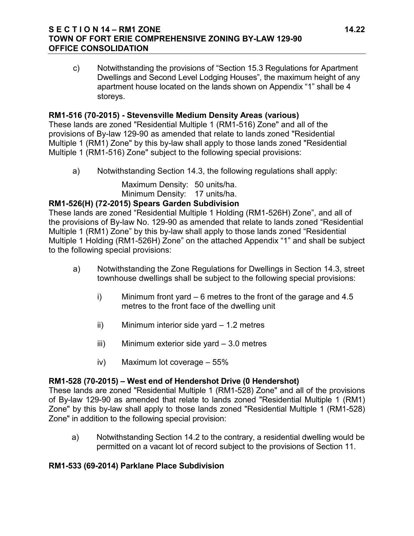#### **S E C T I O N 14 – RM1 ZONE 14.22 TOWN OF FORT ERIE COMPREHENSIVE ZONING BY-LAW 129-90 OFFICE CONSOLIDATION**

c) Notwithstanding the provisions of "Section 15.3 Regulations for Apartment Dwellings and Second Level Lodging Houses", the maximum height of any apartment house located on the lands shown on Appendix "1" shall be 4 storeys.

## **RM1-516 (70-2015) - Stevensville Medium Density Areas (various)**

These lands are zoned "Residential Multiple 1 (RM1-516) Zone" and all of the provisions of By-law 129-90 as amended that relate to lands zoned "Residential Multiple 1 (RM1) Zone" by this by-law shall apply to those lands zoned "Residential Multiple 1 (RM1-516) Zone" subject to the following special provisions:

a) Notwithstanding Section 14.3, the following regulations shall apply:

Maximum Density: 50 units/ha. Minimum Density: 17 units/ha.

## **RM1-526(H) (72-2015) Spears Garden Subdivision**

These lands are zoned "Residential Multiple 1 Holding (RM1-526H) Zone", and all of the provisions of By-law No. 129-90 as amended that relate to lands zoned "Residential Multiple 1 (RM1) Zone" by this by-law shall apply to those lands zoned "Residential Multiple 1 Holding (RM1-526H) Zone" on the attached Appendix "1" and shall be subject to the following special provisions:

- a) Notwithstanding the Zone Regulations for Dwellings in Section 14.3, street townhouse dwellings shall be subject to the following special provisions:
	- i) Minimum front yard 6 metres to the front of the garage and 4.5 metres to the front face of the dwelling unit
	- ii) Minimum interior side yard 1.2 metres
	- iii) Minimum exterior side yard 3.0 metres
	- iv) Maximum lot coverage 55%

#### **RM1-528 (70-2015) – West end of Hendershot Drive (0 Hendershot)**

These lands are zoned "Residential Multiple 1 (RM1-528) Zone" and all of the provisions of By-law 129-90 as amended that relate to lands zoned "Residential Multiple 1 (RM1) Zone" by this by-law shall apply to those lands zoned "Residential Multiple 1 (RM1-528) Zone" in addition to the following special provision:

a) Notwithstanding Section 14.2 to the contrary, a residential dwelling would be permitted on a vacant lot of record subject to the provisions of Section 11.

## **RM1-533 (69-2014) Parklane Place Subdivision**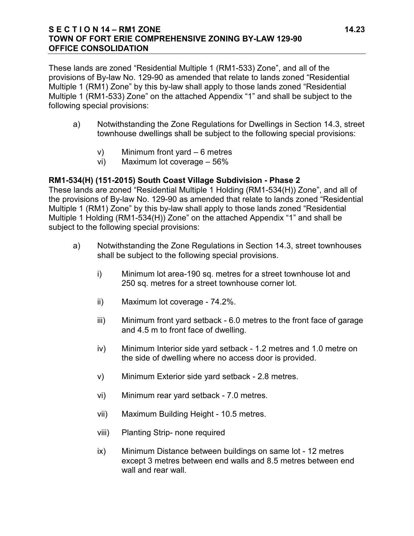#### **S E C T I O N 14 – RM1 ZONE 14.23 TOWN OF FORT ERIE COMPREHENSIVE ZONING BY-LAW 129-90 OFFICE CONSOLIDATION**

These lands are zoned "Residential Multiple 1 (RM1-533) Zone", and all of the provisions of By-law No. 129-90 as amended that relate to lands zoned "Residential Multiple 1 (RM1) Zone" by this by-law shall apply to those lands zoned "Residential Multiple 1 (RM1-533) Zone" on the attached Appendix "1" and shall be subject to the following special provisions:

- a) Notwithstanding the Zone Regulations for Dwellings in Section 14.3, street townhouse dwellings shall be subject to the following special provisions:
	- v) Minimum front yard 6 metres
	- vi) Maximum lot coverage 56%

## **RM1-534(H) (151-2015) South Coast Village Subdivision - Phase 2**

These lands are zoned "Residential Multiple 1 Holding (RM1-534(H)) Zone", and all of the provisions of By-law No. 129-90 as amended that relate to lands zoned "Residential Multiple 1 (RM1) Zone" by this by-law shall apply to those lands zoned "Residential Multiple 1 Holding (RM1-534(H)) Zone" on the attached Appendix "1" and shall be subject to the following special provisions:

- a) Notwithstanding the Zone Regulations in Section 14.3, street townhouses shall be subject to the following special provisions.
	- i) Minimum lot area-190 sq. metres for a street townhouse lot and 250 sq. metres for a street townhouse corner lot.
	- ii) Maximum lot coverage 74.2%.
	- iii) Minimum front yard setback 6.0 metres to the front face of garage and 4.5 m to front face of dwelling.
	- iv) Minimum Interior side yard setback 1.2 metres and 1.0 metre on the side of dwelling where no access door is provided.
	- v) Minimum Exterior side yard setback 2.8 metres.
	- vi) Minimum rear yard setback 7.0 metres.
	- vii) Maximum Building Height 10.5 metres.
	- viii) Planting Strip- none required
	- ix) Minimum Distance between buildings on same lot 12 metres except 3 metres between end walls and 8.5 metres between end wall and rear wall.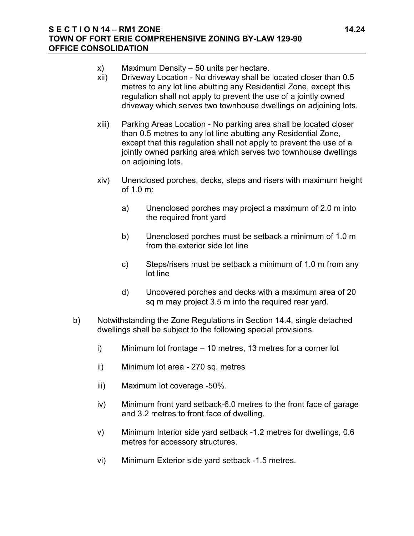#### **S E C T I O N 14 – RM1 ZONE 14.24 TOWN OF FORT ERIE COMPREHENSIVE ZONING BY-LAW 129-90 OFFICE CONSOLIDATION**

- x) Maximum Density 50 units per hectare.
- xii) Driveway Location No driveway shall be located closer than 0.5 metres to any lot line abutting any Residential Zone, except this regulation shall not apply to prevent the use of a jointly owned driveway which serves two townhouse dwellings on adjoining lots.
- xiii) Parking Areas Location No parking area shall be located closer than 0.5 metres to any lot line abutting any Residential Zone, except that this regulation shall not apply to prevent the use of a jointly owned parking area which serves two townhouse dwellings on adjoining lots.
- xiv) Unenclosed porches, decks, steps and risers with maximum height of 1.0 m:
	- a) Unenclosed porches may project a maximum of 2.0 m into the required front yard
	- b) Unenclosed porches must be setback a minimum of 1.0 m from the exterior side lot line
	- c) Steps/risers must be setback a minimum of 1.0 m from any lot line
	- d) Uncovered porches and decks with a maximum area of 20 sq m may project 3.5 m into the required rear yard.
- b) Notwithstanding the Zone Regulations in Section 14.4, single detached dwellings shall be subject to the following special provisions.
	- i) Minimum lot frontage 10 metres, 13 metres for a corner lot
	- ii) Minimum lot area 270 sq. metres
	- iii) Maximum lot coverage -50%.
	- iv) Minimum front yard setback-6.0 metres to the front face of garage and 3.2 metres to front face of dwelling.
	- v) Minimum Interior side yard setback -1.2 metres for dwellings, 0.6 metres for accessory structures.
	- vi) Minimum Exterior side yard setback -1.5 metres.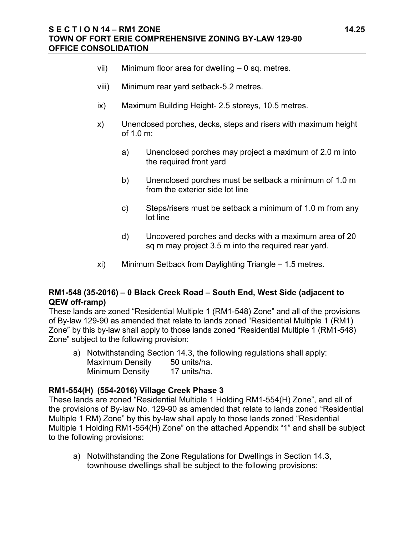#### **S E C T I O N 14 – RM1 ZONE 14.25 TOWN OF FORT ERIE COMPREHENSIVE ZONING BY-LAW 129-90 OFFICE CONSOLIDATION**

- vii) Minimum floor area for dwelling 0 sq. metres.
- viii) Minimum rear yard setback-5.2 metres.
- ix) Maximum Building Height- 2.5 storeys, 10.5 metres.
- x) Unenclosed porches, decks, steps and risers with maximum height of 1.0 m:
	- a) Unenclosed porches may project a maximum of 2.0 m into the required front yard
	- b) Unenclosed porches must be setback a minimum of 1.0 m from the exterior side lot line
	- c) Steps/risers must be setback a minimum of 1.0 m from any lot line
	- d) Uncovered porches and decks with a maximum area of 20 sq m may project 3.5 m into the required rear yard.
- xi) Minimum Setback from Daylighting Triangle 1.5 metres.

## **RM1-548 (35-2016) – 0 Black Creek Road – South End, West Side (adjacent to QEW off-ramp)**

These lands are zoned "Residential Multiple 1 (RM1-548) Zone" and all of the provisions of By-law 129-90 as amended that relate to lands zoned "Residential Multiple 1 (RM1) Zone" by this by-law shall apply to those lands zoned "Residential Multiple 1 (RM1-548) Zone" subject to the following provision:

a) Notwithstanding Section 14.3, the following regulations shall apply: Maximum Density 50 units/ha. Minimum Density 17 units/ha.

#### **RM1-554(H) (554-2016) Village Creek Phase 3**

These lands are zoned "Residential Multiple 1 Holding RM1-554(H) Zone", and all of the provisions of By-law No. 129-90 as amended that relate to lands zoned "Residential Multiple 1 RM) Zone" by this by-law shall apply to those lands zoned "Residential Multiple 1 Holding RM1-554(H) Zone" on the attached Appendix "1" and shall be subject to the following provisions:

a) Notwithstanding the Zone Regulations for Dwellings in Section 14.3, townhouse dwellings shall be subject to the following provisions: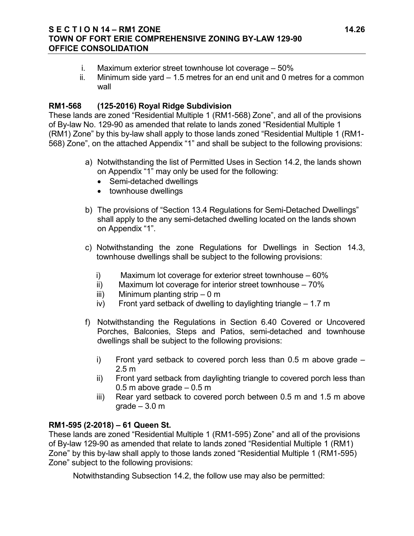#### **S E C T I O N 14 – RM1 ZONE 14.26 TOWN OF FORT ERIE COMPREHENSIVE ZONING BY-LAW 129-90 OFFICE CONSOLIDATION**

- i. Maximum exterior street townhouse lot coverage 50%
- ii. Minimum side yard 1.5 metres for an end unit and 0 metres for a common wall

## **RM1-568 (125-2016) Royal Ridge Subdivision**

These lands are zoned "Residential Multiple 1 (RM1-568) Zone", and all of the provisions of By-law No. 129-90 as amended that relate to lands zoned "Residential Multiple 1 (RM1) Zone" by this by-law shall apply to those lands zoned "Residential Multiple 1 (RM1- 568) Zone", on the attached Appendix "1" and shall be subject to the following provisions:

- a) Notwithstanding the list of Permitted Uses in Section 14.2, the lands shown on Appendix "1" may only be used for the following:
	- Semi-detached dwellings
	- townhouse dwellings
- b) The provisions of "Section 13.4 Regulations for Semi-Detached Dwellings" shall apply to the any semi-detached dwelling located on the lands shown on Appendix "1".
- c) Notwithstanding the zone Regulations for Dwellings in Section 14.3, townhouse dwellings shall be subject to the following provisions:
	- i) Maximum lot coverage for exterior street townhouse 60%
	- ii) Maximum lot coverage for interior street townhouse 70%
	- iii) Minimum planting strip 0 m
	- iv) Front yard setback of dwelling to daylighting triangle 1.7 m
- f) Notwithstanding the Regulations in Section 6.40 Covered or Uncovered Porches, Balconies, Steps and Patios, semi-detached and townhouse dwellings shall be subject to the following provisions:
	- i) Front yard setback to covered porch less than  $0.5$  m above grade  $-$ 2.5 m
	- ii) Front yard setback from daylighting triangle to covered porch less than 0.5 m above grade  $-0.5$  m
	- iii) Rear yard setback to covered porch between 0.5 m and 1.5 m above  $grade - 3.0 m$

## **RM1-595 (2-2018) – 61 Queen St.**

These lands are zoned "Residential Multiple 1 (RM1-595) Zone" and all of the provisions of By-law 129-90 as amended that relate to lands zoned "Residential Multiple 1 (RM1) Zone" by this by-law shall apply to those lands zoned "Residential Multiple 1 (RM1-595) Zone" subject to the following provisions:

Notwithstanding Subsection 14.2, the follow use may also be permitted: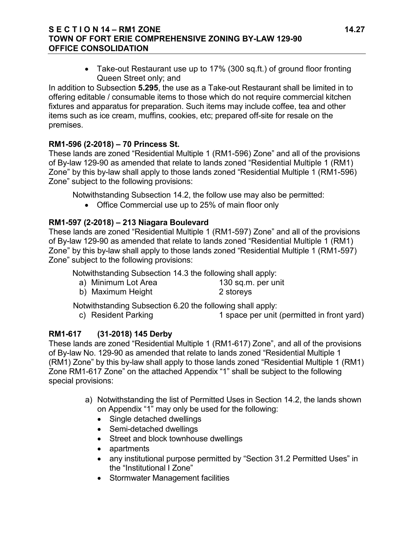## **S E C T I O N 14 – RM1 ZONE 14.27 TOWN OF FORT ERIE COMPREHENSIVE ZONING BY-LAW 129-90 OFFICE CONSOLIDATION**

• Take-out Restaurant use up to 17% (300 sq.ft.) of ground floor fronting Queen Street only; and

In addition to Subsection **5.295**, the use as a Take-out Restaurant shall be limited in to offering editable / consumable items to those which do not require commercial kitchen fixtures and apparatus for preparation. Such items may include coffee, tea and other items such as ice cream, muffins, cookies, etc; prepared off-site for resale on the premises.

## **RM1-596 (2-2018) – 70 Princess St.**

These lands are zoned "Residential Multiple 1 (RM1-596) Zone" and all of the provisions of By-law 129-90 as amended that relate to lands zoned "Residential Multiple 1 (RM1) Zone" by this by-law shall apply to those lands zoned "Residential Multiple 1 (RM1-596) Zone" subject to the following provisions:

Notwithstanding Subsection 14.2, the follow use may also be permitted:

• Office Commercial use up to 25% of main floor only

## **RM1-597 (2-2018) – 213 Niagara Boulevard**

These lands are zoned "Residential Multiple 1 (RM1-597) Zone" and all of the provisions of By-law 129-90 as amended that relate to lands zoned "Residential Multiple 1 (RM1) Zone" by this by-law shall apply to those lands zoned "Residential Multiple 1 (RM1-597) Zone" subject to the following provisions:

Notwithstanding Subsection 14.3 the following shall apply:

a) Minimum Lot Area 130 sq.m. per unit b) Maximum Height 2 storeys

Notwithstanding Subsection 6.20 the following shall apply:

c) Resident Parking 1 space per unit (permitted in front yard)

# **RM1-617 (31-2018) 145 Derby**

These lands are zoned "Residential Multiple 1 (RM1-617) Zone", and all of the provisions of By-law No. 129-90 as amended that relate to lands zoned "Residential Multiple 1 (RM1) Zone" by this by-law shall apply to those lands zoned "Residential Multiple 1 (RM1) Zone RM1-617 Zone" on the attached Appendix "1" shall be subject to the following special provisions:

- a) Notwithstanding the list of Permitted Uses in Section 14.2, the lands shown on Appendix "1" may only be used for the following:
	- Single detached dwellings
	- Semi-detached dwellings
	- Street and block townhouse dwellings
	- apartments
	- any institutional purpose permitted by "Section 31.2 Permitted Uses" in the "Institutional I Zone"
	- Stormwater Management facilities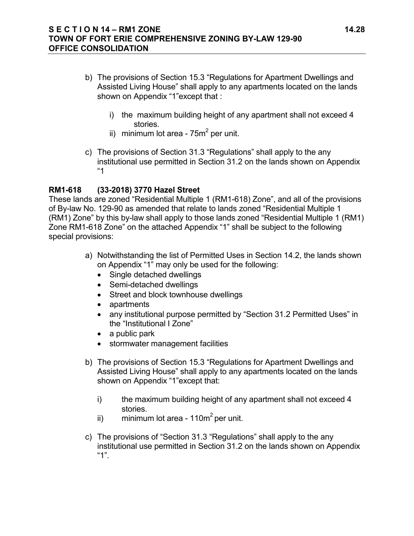- b) The provisions of Section 15.3 "Regulations for Apartment Dwellings and Assisted Living House" shall apply to any apartments located on the lands shown on Appendix "1"except that :
	- i) the maximum building height of any apartment shall not exceed 4 stories.
	- ii) minimum lot area  $75m^2$  per unit.
- c) The provisions of Section 31.3 "Regulations" shall apply to the any institutional use permitted in Section 31.2 on the lands shown on Appendix "1

## **RM1-618 (33-2018) 3770 Hazel Street**

These lands are zoned "Residential Multiple 1 (RM1-618) Zone", and all of the provisions of By-law No. 129-90 as amended that relate to lands zoned "Residential Multiple 1 (RM1) Zone" by this by-law shall apply to those lands zoned "Residential Multiple 1 (RM1) Zone RM1-618 Zone" on the attached Appendix "1" shall be subject to the following special provisions:

- a) Notwithstanding the list of Permitted Uses in Section 14.2, the lands shown on Appendix "1" may only be used for the following:
	- Single detached dwellings
	- Semi-detached dwellings
	- Street and block townhouse dwellings
	- apartments
	- any institutional purpose permitted by "Section 31.2 Permitted Uses" in the "Institutional I Zone"
	- a public park
	- stormwater management facilities
- b) The provisions of Section 15.3 "Regulations for Apartment Dwellings and Assisted Living House" shall apply to any apartments located on the lands shown on Appendix "1"except that:
	- i) the maximum building height of any apartment shall not exceed 4 stories.
	- ii) minimum lot area 110 $\text{m}^2$  per unit.
- c) The provisions of "Section 31.3 "Regulations" shall apply to the any institutional use permitted in Section 31.2 on the lands shown on Appendix "1".